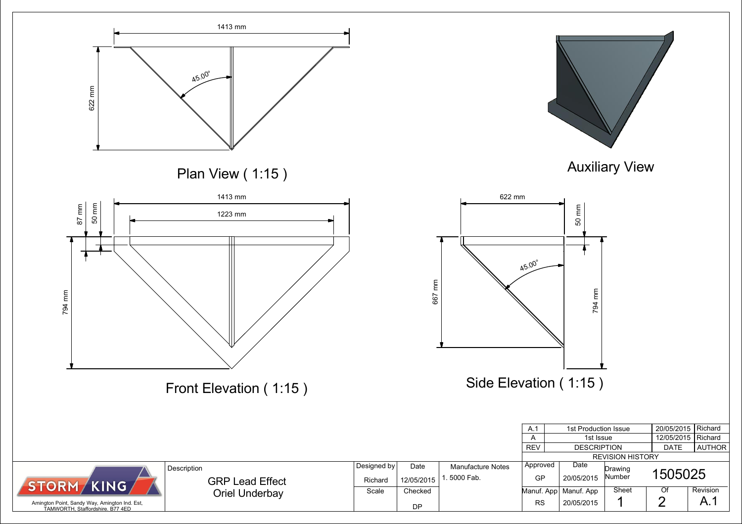